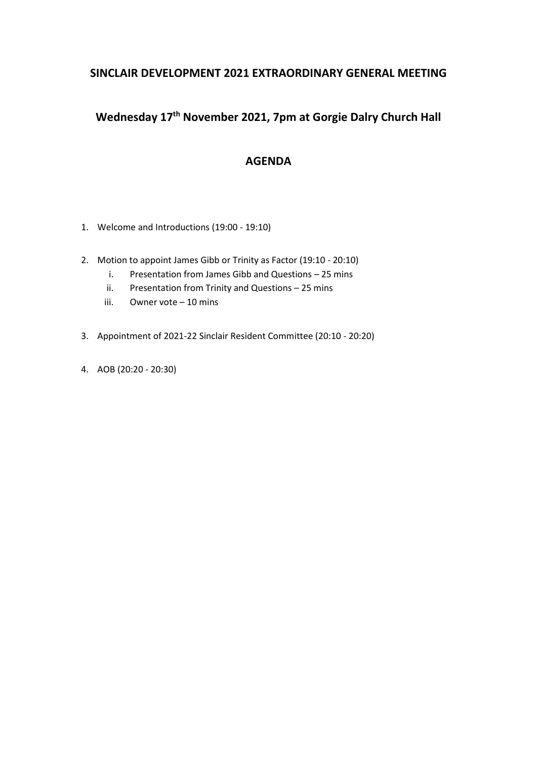## **SINCLAIR DEVELOPMENT 2021 EXTRAORDINARY GENERAL MEETING**

# **Wednesday 17th November 2021, 7pm at Gorgie Dalry Church Hall**

## **AGENDA**

- 1. Welcome and Introductions (19:00 19:10)
- 2. Motion to appoint James Gibb or Trinity as Factor (19:10 20:10)
	- i. Presentation from James Gibb and Questions 25 mins
	- ii. Presentation from Trinity and Questions 25 mins
	- iii. Owner vote 10 mins
- 3. Appointment of 2021-22 Sinclair Resident Committee (20:10 20:20)
- 4. AOB (20:20 20:30)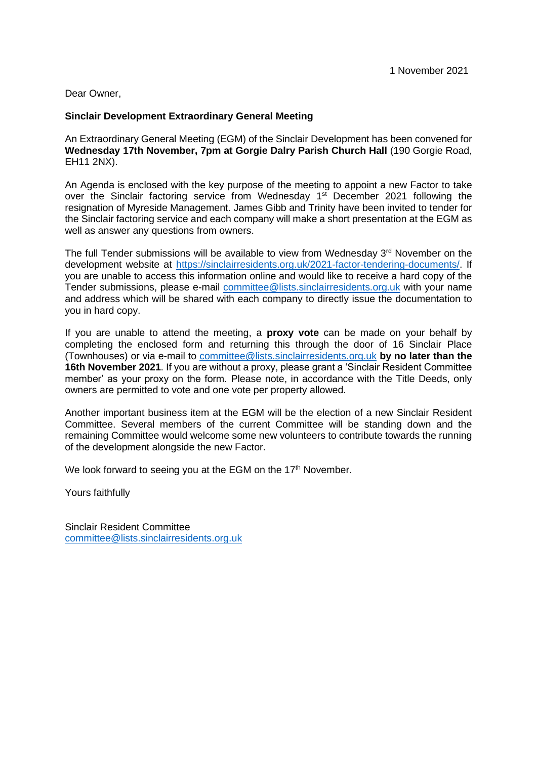Dear Owner,

#### **Sinclair Development Extraordinary General Meeting**

An Extraordinary General Meeting (EGM) of the Sinclair Development has been convened for **Wednesday 17th November, 7pm at Gorgie Dalry Parish Church Hall** (190 Gorgie Road, EH11 2NX).

An Agenda is enclosed with the key purpose of the meeting to appoint a new Factor to take over the Sinclair factoring service from Wednesday 1<sup>st</sup> December 2021 following the resignation of Myreside Management. James Gibb and Trinity have been invited to tender for the Sinclair factoring service and each company will make a short presentation at the EGM as well as answer any questions from owners.

The full Tender submissions will be available to view from Wednesday  $3<sup>rd</sup>$  November on the development website at [https://sinclairresidents.org.uk/2021-factor-tendering-documents/.](https://sinclairresidents.org.uk/2021-factor-tendering-documents/) If you are unable to access this information online and would like to receive a hard copy of the Tender submissions, please e-mail [committee@lists.sinclairresidents.org.uk](mailto:committee@lists.sinclairresidents.org.uk) with your name and address which will be shared with each company to directly issue the documentation to you in hard copy.

If you are unable to attend the meeting, a **proxy vote** can be made on your behalf by completing the enclosed form and returning this through the door of 16 Sinclair Place (Townhouses) or via e-mail to [committee@lists.sinclairresidents.org.uk](mailto:committee@lists.sinclairresidents.org.uk) **by no later than the 16th November 2021**. If you are without a proxy, please grant a 'Sinclair Resident Committee member' as your proxy on the form. Please note, in accordance with the Title Deeds, only owners are permitted to vote and one vote per property allowed.

Another important business item at the EGM will be the election of a new Sinclair Resident Committee. Several members of the current Committee will be standing down and the remaining Committee would welcome some new volunteers to contribute towards the running of the development alongside the new Factor.

We look forward to seeing you at the EGM on the 17<sup>th</sup> November.

Yours faithfully

Sinclair Resident Committee [committee@lists.sinclairresidents.org.uk](mailto:committee@lists.sinclairresidents.org.uk)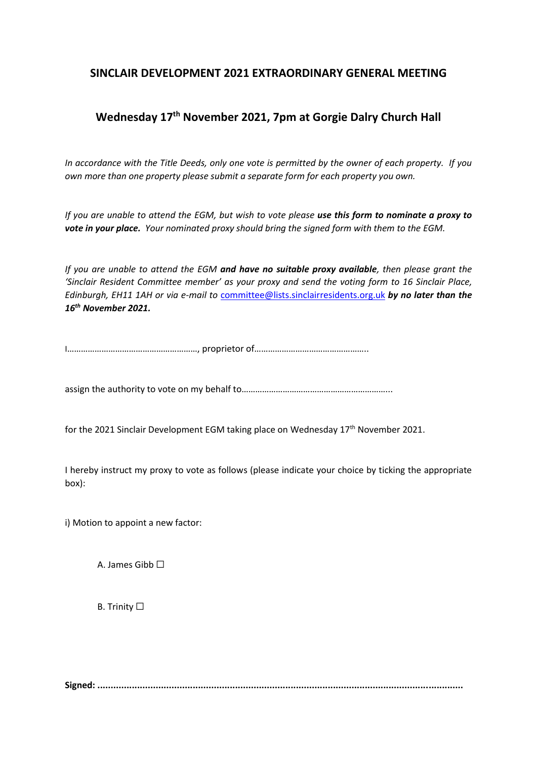## **SINCLAIR DEVELOPMENT 2021 EXTRAORDINARY GENERAL MEETING**

## **Wednesday 17th November 2021, 7pm at Gorgie Dalry Church Hall**

*In accordance with the Title Deeds, only one vote is permitted by the owner of each property. If you own more than one property please submit a separate form for each property you own.* 

*If you are unable to attend the EGM, but wish to vote please use this form to nominate a proxy to vote in your place. Your nominated proxy should bring the signed form with them to the EGM.* 

*If you are unable to attend the EGM and have no suitable proxy available, then please grant the 'Sinclair Resident Committee member' as your proxy and send the voting form to 16 Sinclair Place, Edinburgh, EH11 1AH or via e-mail to* committee@lists.sinclairresidents.org.uk *by no later than the 16th November 2021.* 

I…………………………………………………, proprietor of…………………………………………..

assign the authority to vote on my behalf to………………………………………………………...

for the 2021 Sinclair Development EGM taking place on Wednesday  $17<sup>th</sup>$  November 2021.

I hereby instruct my proxy to vote as follows (please indicate your choice by ticking the appropriate box):

i) Motion to appoint a new factor:

A. James Gibb  $\Box$ 

**B.** Trinity □

**Signed: ..........................................................................................................................................**